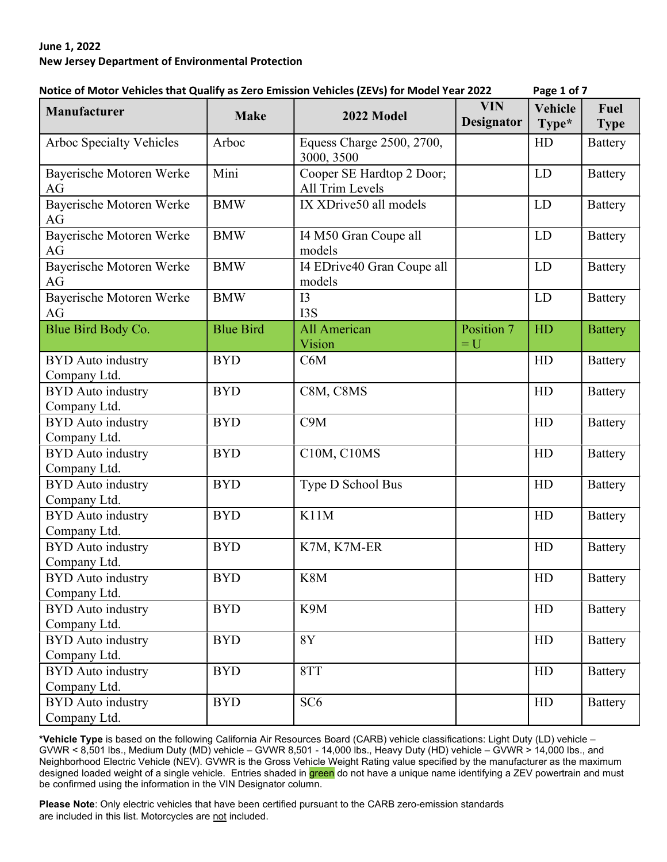## June 1, 2022 New Jersey Department of Environmental Protection

| NOtice of MOLOF Vehicles that Quality as Zero Emission Vehicles (ZEVS) for MOUEF Fear ZOZZ |                  |                                                     |                          | rage 1 UI /      |                     |
|--------------------------------------------------------------------------------------------|------------------|-----------------------------------------------------|--------------------------|------------------|---------------------|
| Manufacturer                                                                               | <b>Make</b>      | 2022 Model                                          | <b>VIN</b><br>Designator | Vehicle<br>Type* | Fuel<br><b>Type</b> |
| <b>Arboc Specialty Vehicles</b>                                                            | Arboc            | Equess Charge 2500, 2700,<br>3000, 3500             |                          | HD               | <b>Battery</b>      |
| Bayerische Motoren Werke<br>AG                                                             | Mini             | Cooper SE Hardtop 2 Door;<br><b>All Trim Levels</b> |                          | LD               | <b>Battery</b>      |
| Bayerische Motoren Werke<br>AG                                                             | <b>BMW</b>       | IX XDrive50 all models                              |                          | LD               | <b>Battery</b>      |
| Bayerische Motoren Werke<br>AG                                                             | <b>BMW</b>       | I4 M50 Gran Coupe all<br>models                     |                          | LD               | <b>Battery</b>      |
| Bayerische Motoren Werke<br>AG                                                             | <b>BMW</b>       | I4 EDrive40 Gran Coupe all<br>models                |                          | LD               | <b>Battery</b>      |
| Bayerische Motoren Werke<br>AG                                                             | <b>BMW</b>       | I3<br>I3S                                           |                          | <b>LD</b>        | <b>Battery</b>      |
| Blue Bird Body Co.                                                                         | <b>Blue Bird</b> | <b>All American</b><br>Vision                       | Position 7<br>$= U$      | HD               | <b>Battery</b>      |
| <b>BYD</b> Auto industry<br>Company Ltd.                                                   | <b>BYD</b>       | C6M                                                 |                          | HD               | <b>Battery</b>      |
| <b>BYD</b> Auto industry<br>Company Ltd.                                                   | <b>BYD</b>       | C8M, C8MS                                           |                          | HD               | <b>Battery</b>      |
| <b>BYD</b> Auto industry<br>Company Ltd.                                                   | <b>BYD</b>       | C9M                                                 |                          | HD               | <b>Battery</b>      |
| <b>BYD</b> Auto industry<br>Company Ltd.                                                   | <b>BYD</b>       | C10M, C10MS                                         |                          | HD               | <b>Battery</b>      |
| <b>BYD</b> Auto industry<br>Company Ltd.                                                   | <b>BYD</b>       | Type D School Bus                                   |                          | HD               | <b>Battery</b>      |
| <b>BYD</b> Auto industry<br>Company Ltd.                                                   | <b>BYD</b>       | K11M                                                |                          | HD               | <b>Battery</b>      |
| <b>BYD</b> Auto industry<br>Company Ltd.                                                   | <b>BYD</b>       | K7M, K7M-ER                                         |                          | HD               | <b>Battery</b>      |
| <b>BYD</b> Auto industry<br>Company Ltd.                                                   | <b>BYD</b>       | K8M                                                 |                          | HD               | <b>Battery</b>      |
| <b>BYD</b> Auto industry<br>Company Ltd.                                                   | <b>BYD</b>       | K9M                                                 |                          | ${\rm HD}$       | <b>Battery</b>      |
| <b>BYD</b> Auto industry<br>Company Ltd.                                                   | <b>BYD</b>       | 8Y                                                  |                          | HD               | <b>Battery</b>      |
| <b>BYD</b> Auto industry<br>Company Ltd.                                                   | <b>BYD</b>       | 8TT                                                 |                          | HD               | <b>Battery</b>      |
| <b>BYD</b> Auto industry<br>Company Ltd.                                                   | <b>BYD</b>       | SC <sub>6</sub>                                     |                          | HD               | <b>Battery</b>      |
|                                                                                            |                  |                                                     |                          |                  |                     |

## Notice of Motor Vehicles that Qualify as Zero Emission Vehicles (ZEVs) for Model Year 2022 Page 1 of 7

\*Vehicle Type is based on the following California Air Resources Board (CARB) vehicle classifications: Light Duty (LD) vehicle – GVWR < 8,501 lbs., Medium Duty (MD) vehicle – GVWR 8,501 - 14,000 lbs., Heavy Duty (HD) vehicle – GVWR > 14,000 lbs., and Neighborhood Electric Vehicle (NEV). GVWR is the Gross Vehicle Weight Rating value specified by the manufacturer as the maximum designed loaded weight of a single vehicle. Entries shaded in green do not have a unique name identifying a ZEV powertrain and must be confirmed using the information in the VIN Designator column.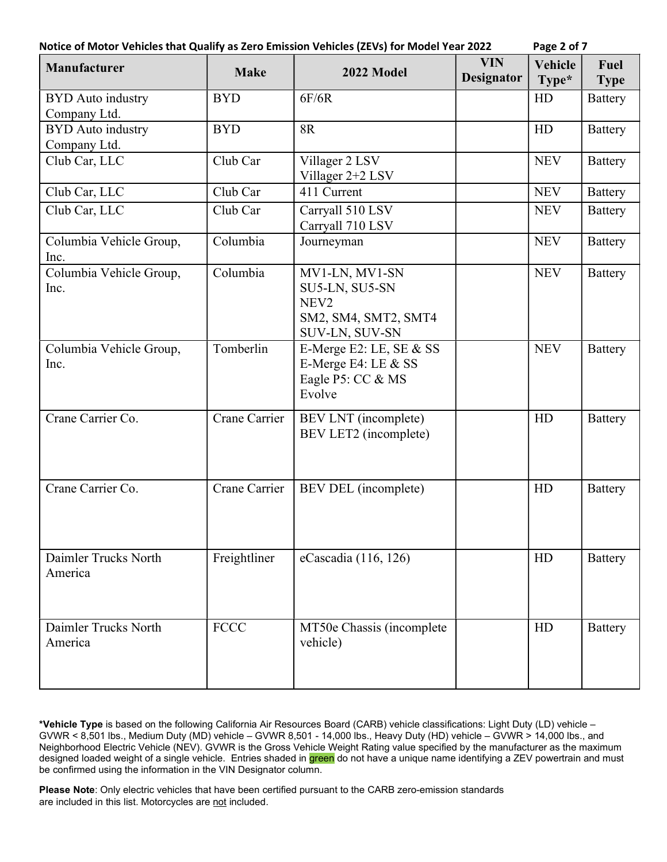| Notice of Motor Vehicles that Qualify as Zero Emission Vehicles (ZEVs) for Model Year 2022 | Page 2 of 7 |
|--------------------------------------------------------------------------------------------|-------------|
|--------------------------------------------------------------------------------------------|-------------|

| ıσ<br>٦ | 01 |  |
|---------|----|--|
|         |    |  |

| Manufacturer                             | <b>Make</b>   | 2022 Model                                                                                     | <b>VIN</b><br>Designator | Vehicle<br>Type* | Fuel<br><b>Type</b> |
|------------------------------------------|---------------|------------------------------------------------------------------------------------------------|--------------------------|------------------|---------------------|
| <b>BYD</b> Auto industry<br>Company Ltd. | <b>BYD</b>    | 6F/6R                                                                                          |                          | HD               | <b>Battery</b>      |
| <b>BYD</b> Auto industry<br>Company Ltd. | <b>BYD</b>    | <b>8R</b>                                                                                      |                          | HD               | <b>Battery</b>      |
| Club Car, LLC                            | Club Car      | Villager 2 LSV<br>Villager 2+2 LSV                                                             |                          | <b>NEV</b>       | <b>Battery</b>      |
| Club Car, LLC                            | Club Car      | 411 Current                                                                                    |                          | <b>NEV</b>       | <b>Battery</b>      |
| Club Car, LLC                            | Club Car      | Carryall 510 LSV<br>Carryall 710 LSV                                                           |                          | <b>NEV</b>       | <b>Battery</b>      |
| Columbia Vehicle Group,<br>Inc.          | Columbia      | Journeyman                                                                                     |                          | <b>NEV</b>       | <b>Battery</b>      |
| Columbia Vehicle Group,<br>Inc.          | Columbia      | MV1-LN, MV1-SN<br>SU5-LN, SU5-SN<br>NEV <sub>2</sub><br>SM2, SM4, SMT2, SMT4<br>SUV-LN, SUV-SN |                          | <b>NEV</b>       | <b>Battery</b>      |
| Columbia Vehicle Group,<br>Inc.          | Tomberlin     | E-Merge E2: LE, SE & SS<br>E-Merge E4: LE & SS<br>Eagle P5: CC & MS<br>Evolve                  |                          | <b>NEV</b>       | <b>Battery</b>      |
| Crane Carrier Co.                        | Crane Carrier | BEV LNT (incomplete)<br>BEV LET2 (incomplete)                                                  |                          | HD               | <b>Battery</b>      |
| Crane Carrier Co.                        | Crane Carrier | BEV DEL (incomplete)                                                                           |                          | HD               | <b>Battery</b>      |
| Daimler Trucks North<br>America          | Freightliner  | eCascadia (116, 126)                                                                           |                          | HD               | <b>Battery</b>      |
| Daimler Trucks North<br>America          | <b>FCCC</b>   | MT50e Chassis (incomplete<br>vehicle)                                                          |                          | HD               | <b>Battery</b>      |

\*Vehicle Type is based on the following California Air Resources Board (CARB) vehicle classifications: Light Duty (LD) vehicle – GVWR < 8,501 lbs., Medium Duty (MD) vehicle – GVWR 8,501 - 14,000 lbs., Heavy Duty (HD) vehicle – GVWR > 14,000 lbs., and Neighborhood Electric Vehicle (NEV). GVWR is the Gross Vehicle Weight Rating value specified by the manufacturer as the maximum designed loaded weight of a single vehicle. Entries shaded in <mark>green</mark> do not have a unique name identifying a ZEV powertrain and must be confirmed using the information in the VIN Designator column.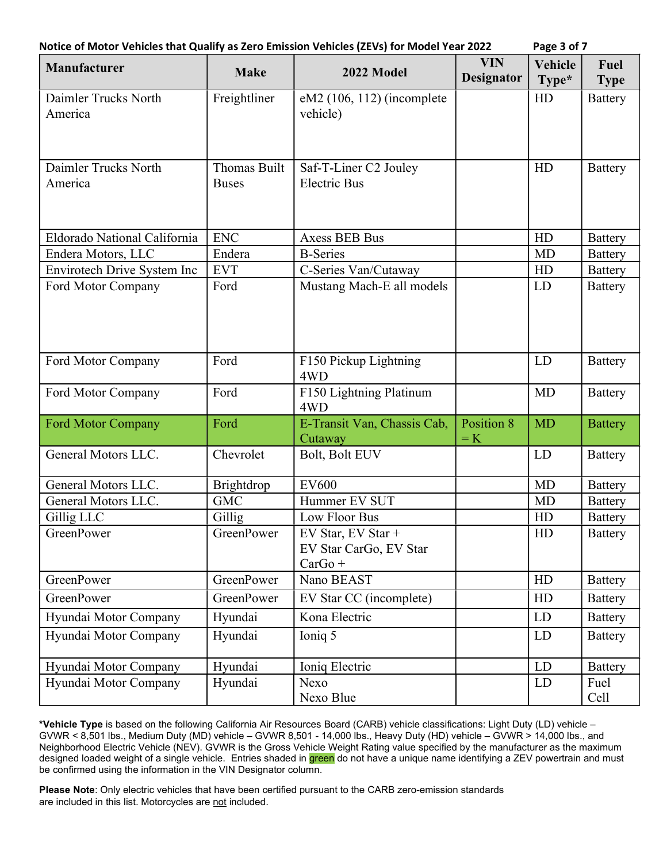| Manufacturer                    | <b>Make</b>                  | 2022 Model                                                | <b>VIN</b><br><b>Designator</b> | <b>Vehicle</b><br>Type* | Fuel<br><b>Type</b> |
|---------------------------------|------------------------------|-----------------------------------------------------------|---------------------------------|-------------------------|---------------------|
| Daimler Trucks North<br>America | Freightliner                 | $eM2$ (106, 112) (incomplete<br>vehicle)                  |                                 | HD                      | <b>Battery</b>      |
| Daimler Trucks North<br>America | Thomas Built<br><b>Buses</b> | Saf-T-Liner C2 Jouley<br><b>Electric Bus</b>              |                                 | HD                      | <b>Battery</b>      |
| Eldorado National California    | <b>ENC</b>                   | <b>Axess BEB Bus</b>                                      |                                 | HD                      | <b>Battery</b>      |
| Endera Motors, LLC              | Endera                       | <b>B-Series</b>                                           |                                 | <b>MD</b>               | <b>Battery</b>      |
| Envirotech Drive System Inc     | <b>EVT</b>                   | C-Series Van/Cutaway                                      |                                 | HD                      | <b>Battery</b>      |
| Ford Motor Company              | Ford                         | Mustang Mach-E all models                                 |                                 | LD                      | <b>Battery</b>      |
| Ford Motor Company              | Ford                         | F150 Pickup Lightning<br>4WD                              |                                 | <b>LD</b>               | <b>Battery</b>      |
| Ford Motor Company              | Ford                         | F150 Lightning Platinum<br>4WD                            |                                 | MD                      | <b>Battery</b>      |
| <b>Ford Motor Company</b>       | Ford                         | E-Transit Van, Chassis Cab,<br>Cutaway                    | Position 8<br>$=$ K             | <b>MD</b>               | <b>Battery</b>      |
| General Motors LLC.             | Chevrolet                    | Bolt, Bolt EUV                                            |                                 | LD                      | <b>Battery</b>      |
| General Motors LLC.             | Brightdrop                   | <b>EV600</b>                                              |                                 | <b>MD</b>               | <b>Battery</b>      |
| General Motors LLC.             | <b>GMC</b>                   | Hummer EV SUT                                             |                                 | <b>MD</b>               | <b>Battery</b>      |
| Gillig LLC                      | Gillig                       | Low Floor Bus                                             |                                 | HD                      | <b>Battery</b>      |
| <b>GreenPower</b>               | <b>GreenPower</b>            | EV Star, EV Star +<br>EV Star CarGo, EV Star<br>$CarGo +$ |                                 | HD                      | <b>Battery</b>      |
| <b>GreenPower</b>               | GreenPower                   | Nano BEAST                                                |                                 | HD                      | <b>Battery</b>      |
| <b>GreenPower</b>               | GreenPower                   | EV Star CC (incomplete)                                   |                                 | HD                      | <b>Battery</b>      |
| Hyundai Motor Company           | Hyundai                      | Kona Electric                                             |                                 | LD                      | <b>Battery</b>      |
| Hyundai Motor Company           | Hyundai                      | Ioniq 5                                                   |                                 | LD                      | <b>Battery</b>      |
| Hyundai Motor Company           | Hyundai                      | Ioniq Electric                                            |                                 | LD                      | <b>Battery</b>      |
| Hyundai Motor Company           | Hyundai                      | Nexo<br>Nexo Blue                                         |                                 | LD                      | Fuel<br>Cell        |

\*Vehicle Type is based on the following California Air Resources Board (CARB) vehicle classifications: Light Duty (LD) vehicle – GVWR < 8,501 lbs., Medium Duty (MD) vehicle – GVWR 8,501 - 14,000 lbs., Heavy Duty (HD) vehicle – GVWR > 14,000 lbs., and Neighborhood Electric Vehicle (NEV). GVWR is the Gross Vehicle Weight Rating value specified by the manufacturer as the maximum designed loaded weight of a single vehicle. Entries shaded in green do not have a unique name identifying a ZEV powertrain and must be confirmed using the information in the VIN Designator column.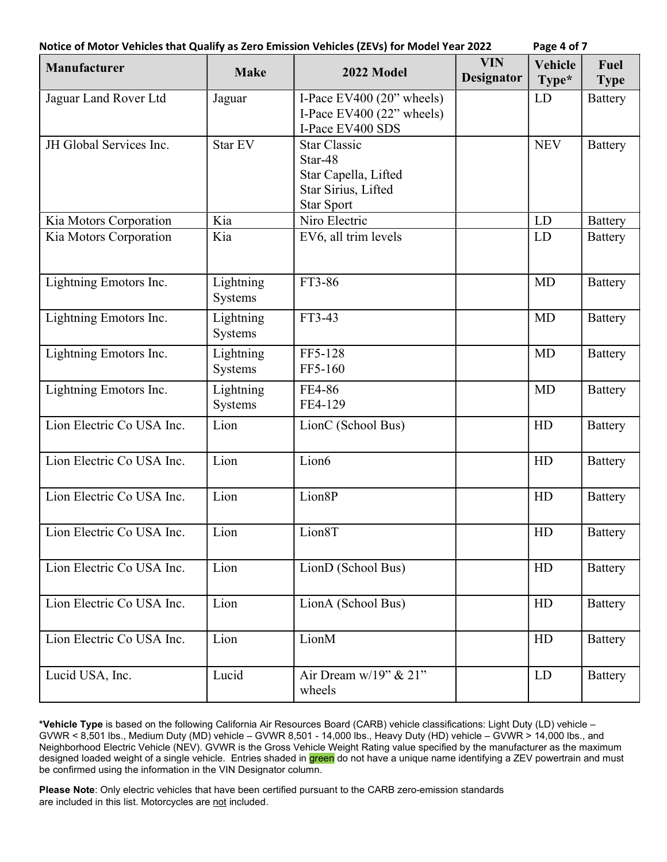| Notice of Motor Vehicles that Qualify as Zero Emission Vehicles (ZEVs) for Model Year 2022 | Page 4 of 7 |
|--------------------------------------------------------------------------------------------|-------------|
|--------------------------------------------------------------------------------------------|-------------|

| Manufacturer              | <b>Make</b>          | 2022 Model                                                                                         | <b>VIN</b><br><b>Designator</b> | <b>Vehicle</b><br>Type* | Fuel<br><b>Type</b> |
|---------------------------|----------------------|----------------------------------------------------------------------------------------------------|---------------------------------|-------------------------|---------------------|
| Jaguar Land Rover Ltd     | Jaguar               | I-Pace EV400 $(20$ " wheels)<br>I-Pace EV400 $(22)$ " wheels)<br>I-Pace EV400 SDS                  |                                 | <b>LD</b>               | <b>Battery</b>      |
| JH Global Services Inc.   | Star EV              | <b>Star Classic</b><br>Star-48<br>Star Capella, Lifted<br>Star Sirius, Lifted<br><b>Star Sport</b> |                                 | <b>NEV</b>              | <b>Battery</b>      |
| Kia Motors Corporation    | Kia                  | Niro Electric                                                                                      |                                 | LD                      | <b>Battery</b>      |
| Kia Motors Corporation    | Kia                  | EV6, all trim levels                                                                               |                                 | LD                      | <b>Battery</b>      |
| Lightning Emotors Inc.    | Lightning<br>Systems | FT3-86                                                                                             |                                 | MD                      | <b>Battery</b>      |
| Lightning Emotors Inc.    | Lightning<br>Systems | FT3-43                                                                                             |                                 | <b>MD</b>               | <b>Battery</b>      |
| Lightning Emotors Inc.    | Lightning<br>Systems | FF5-128<br>FF5-160                                                                                 |                                 | <b>MD</b>               | <b>Battery</b>      |
| Lightning Emotors Inc.    | Lightning<br>Systems | FE4-86<br>FE4-129                                                                                  |                                 | <b>MD</b>               | <b>Battery</b>      |
| Lion Electric Co USA Inc. | Lion                 | LionC (School Bus)                                                                                 |                                 | HD                      | <b>Battery</b>      |
| Lion Electric Co USA Inc. | Lion                 | Lion6                                                                                              |                                 | HD                      | <b>Battery</b>      |
| Lion Electric Co USA Inc. | Lion                 | Lion8P                                                                                             |                                 | HD                      | <b>Battery</b>      |
| Lion Electric Co USA Inc. | Lion                 | Lion8T                                                                                             |                                 | HD                      | <b>Battery</b>      |
| Lion Electric Co USA Inc. | Lion                 | LionD (School Bus)                                                                                 |                                 | HD                      | <b>Battery</b>      |
| Lion Electric Co USA Inc. | Lion                 | LionA (School Bus)                                                                                 |                                 | HD                      | <b>Battery</b>      |
| Lion Electric Co USA Inc. | Lion                 | LionM                                                                                              |                                 | HD                      | <b>Battery</b>      |
| Lucid USA, Inc.           | Lucid                | Air Dream $w/19$ " & $21$ "<br>wheels                                                              |                                 | LD                      | <b>Battery</b>      |

\*Vehicle Type is based on the following California Air Resources Board (CARB) vehicle classifications: Light Duty (LD) vehicle – GVWR < 8,501 lbs., Medium Duty (MD) vehicle – GVWR 8,501 - 14,000 lbs., Heavy Duty (HD) vehicle – GVWR > 14,000 lbs., and Neighborhood Electric Vehicle (NEV). GVWR is the Gross Vehicle Weight Rating value specified by the manufacturer as the maximum designed loaded weight of a single vehicle. Entries shaded in <mark>green</mark> do not have a unique name identifying a ZEV powertrain and must be confirmed using the information in the VIN Designator column.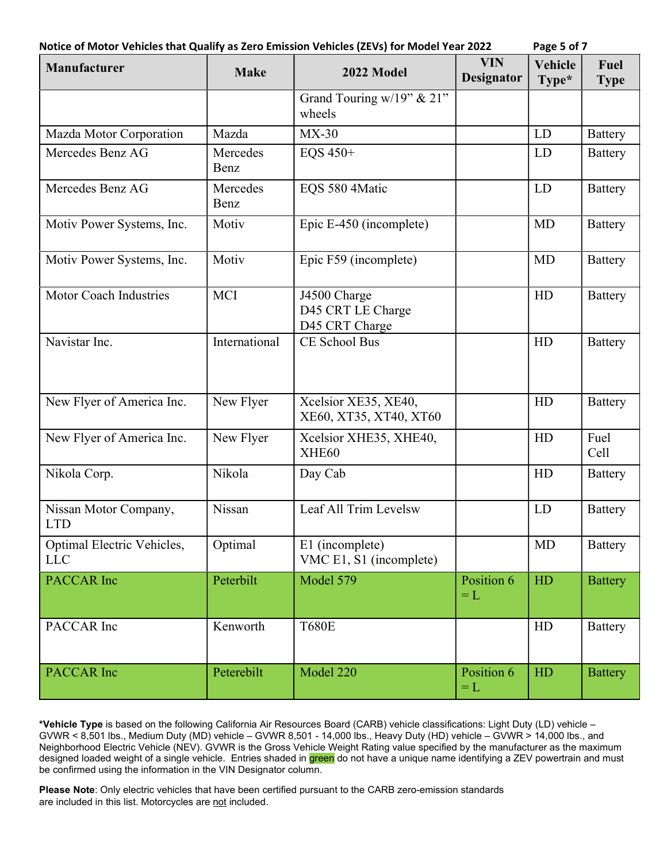| Notice of Motor Vehicles that Qualify as Zero Emission Vehicles (ZEVs) for Model Year 2022 |  |
|--------------------------------------------------------------------------------------------|--|
|--------------------------------------------------------------------------------------------|--|

Page 5 of 7

| Manufacturer                             | <b>Make</b>      | 2022 Model                                          | <b>VIN</b><br><b>Designator</b> | <b>Vehicle</b><br>Type* | Fuel<br><b>Type</b> |
|------------------------------------------|------------------|-----------------------------------------------------|---------------------------------|-------------------------|---------------------|
|                                          |                  | Grand Touring w/19" & 21"<br>wheels                 |                                 |                         |                     |
| Mazda Motor Corporation                  | Mazda            | $MX-30$                                             |                                 | LD                      | <b>Battery</b>      |
| Mercedes Benz AG                         | Mercedes<br>Benz | EQS 450+                                            |                                 | LD                      | <b>Battery</b>      |
| Mercedes Benz AG                         | Mercedes<br>Benz | EQS 580 4Matic                                      |                                 | LD                      | <b>Battery</b>      |
| Motiv Power Systems, Inc.                | Motiv            | Epic E-450 (incomplete)                             |                                 | <b>MD</b>               | <b>Battery</b>      |
| Motiv Power Systems, Inc.                | Motiv            | Epic F59 (incomplete)                               |                                 | <b>MD</b>               | <b>Battery</b>      |
| Motor Coach Industries                   | <b>MCI</b>       | J4500 Charge<br>D45 CRT LE Charge<br>D45 CRT Charge |                                 | HD                      | <b>Battery</b>      |
| Navistar Inc.                            | International    | CE School Bus                                       |                                 | HD                      | <b>Battery</b>      |
| New Flyer of America Inc.                | New Flyer        | Xcelsior XE35, XE40,<br>XE60, XT35, XT40, XT60      |                                 | HD                      | <b>Battery</b>      |
| New Flyer of America Inc.                | New Flyer        | Xcelsior XHE35, XHE40,<br>XHE60                     |                                 | HD                      | Fuel<br>Cell        |
| Nikola Corp.                             | Nikola           | Day Cab                                             |                                 | HD                      | <b>Battery</b>      |
| Nissan Motor Company,<br><b>LTD</b>      | Nissan           | Leaf All Trim Levelsw                               |                                 | LD                      | <b>Battery</b>      |
| Optimal Electric Vehicles,<br><b>LLC</b> | Optimal          | E1 (incomplete)<br>VMC E1, S1 (incomplete)          |                                 | MD                      | <b>Battery</b>      |
| <b>PACCAR</b> Inc                        | Peterbilt        | Model 579                                           | Position 6<br>$=L$              | HD                      | <b>Battery</b>      |
| PACCAR Inc                               | Kenworth         | <b>T680E</b>                                        |                                 | HD                      | <b>Battery</b>      |
| <b>PACCAR</b> Inc                        | Peterebilt       | Model 220                                           | Position 6<br>$=L$              | HD                      | <b>Battery</b>      |

\*Vehicle Type is based on the following California Air Resources Board (CARB) vehicle classifications: Light Duty (LD) vehicle – GVWR < 8,501 lbs., Medium Duty (MD) vehicle – GVWR 8,501 - 14,000 lbs., Heavy Duty (HD) vehicle – GVWR > 14,000 lbs., and Neighborhood Electric Vehicle (NEV). GVWR is the Gross Vehicle Weight Rating value specified by the manufacturer as the maximum designed loaded weight of a single vehicle. Entries shaded in <mark>green</mark> do not have a unique name identifying a ZEV powertrain and must be confirmed using the information in the VIN Designator column.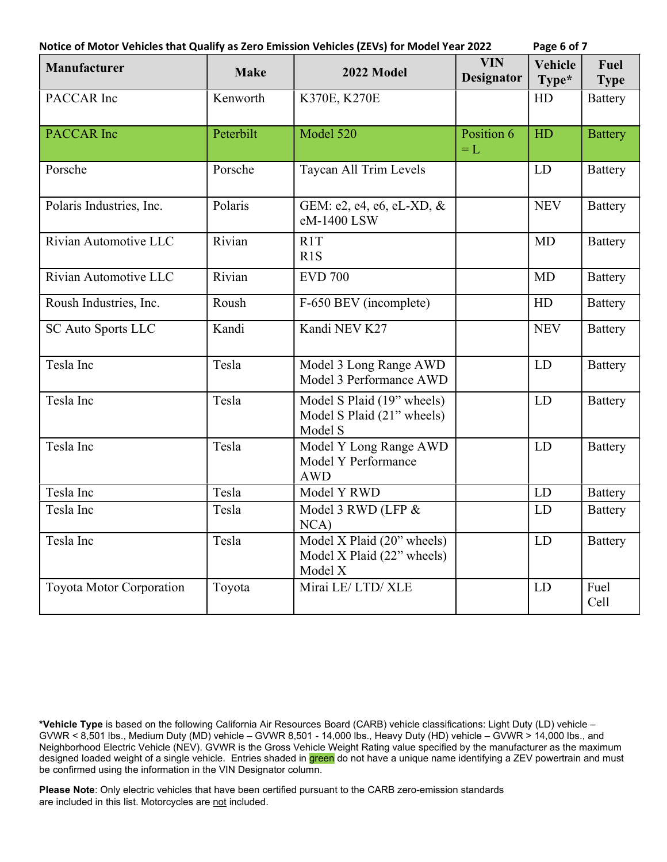|                                 | Notice of Motor Vehicles that Qualify as Zero Emission Vehicles (ZEVs) for Model Year 2022 |                                                                     |                                 | Page 6 of 7             |                     |
|---------------------------------|--------------------------------------------------------------------------------------------|---------------------------------------------------------------------|---------------------------------|-------------------------|---------------------|
| <b>Manufacturer</b>             | <b>Make</b>                                                                                | 2022 Model                                                          | <b>VIN</b><br><b>Designator</b> | <b>Vehicle</b><br>Type* | Fuel<br><b>Type</b> |
| PACCAR Inc                      | Kenworth                                                                                   | K370E, K270E                                                        |                                 | HD                      | <b>Battery</b>      |
| <b>PACCAR</b> Inc               | Peterbilt                                                                                  | Model 520                                                           | Position 6<br>$=L$              | HD                      | <b>Battery</b>      |
| Porsche                         | Porsche                                                                                    | Taycan All Trim Levels                                              |                                 | LD                      | <b>Battery</b>      |
| Polaris Industries, Inc.        | Polaris                                                                                    | GEM: e2, e4, e6, eL-XD, &<br>eM-1400 LSW                            |                                 | <b>NEV</b>              | <b>Battery</b>      |
| Rivian Automotive LLC           | Rivian                                                                                     | R1T<br>R1S                                                          |                                 | MD                      | <b>Battery</b>      |
| Rivian Automotive LLC           | Rivian                                                                                     | <b>EVD 700</b>                                                      |                                 | MD                      | <b>Battery</b>      |
| Roush Industries, Inc.          | Roush                                                                                      | F-650 BEV (incomplete)                                              |                                 | HD                      | <b>Battery</b>      |
| <b>SC Auto Sports LLC</b>       | Kandi                                                                                      | Kandi NEV K27                                                       |                                 | <b>NEV</b>              | <b>Battery</b>      |
| Tesla Inc                       | Tesla                                                                                      | Model 3 Long Range AWD<br>Model 3 Performance AWD                   |                                 | <b>LD</b>               | <b>Battery</b>      |
| Tesla Inc                       | Tesla                                                                                      | Model S Plaid (19" wheels)<br>Model S Plaid (21" wheels)<br>Model S |                                 | <b>LD</b>               | <b>Battery</b>      |
| Tesla Inc                       | Tesla                                                                                      | Model Y Long Range AWD<br>Model Y Performance<br><b>AWD</b>         |                                 | <b>LD</b>               | <b>Battery</b>      |
| Tesla Inc                       | Tesla                                                                                      | Model Y RWD                                                         |                                 | <b>LD</b>               | <b>Battery</b>      |
| Tesla Inc                       | Tesla                                                                                      | Model 3 RWD (LFP &<br>NCA)                                          |                                 | LD                      | <b>Battery</b>      |
| Tesla Inc                       | Tesla                                                                                      | Model X Plaid (20" wheels)<br>Model X Plaid (22" wheels)<br>Model X |                                 | LD                      | <b>Battery</b>      |
| <b>Toyota Motor Corporation</b> | Toyota                                                                                     | Mirai LE/LTD/XLE                                                    |                                 | LD                      | Fuel<br>Cell        |

\*Vehicle Type is based on the following California Air Resources Board (CARB) vehicle classifications: Light Duty (LD) vehicle – GVWR < 8,501 lbs., Medium Duty (MD) vehicle – GVWR 8,501 - 14,000 lbs., Heavy Duty (HD) vehicle – GVWR > 14,000 lbs., and Neighborhood Electric Vehicle (NEV). GVWR is the Gross Vehicle Weight Rating value specified by the manufacturer as the maximum designed loaded weight of a single vehicle. Entries shaded in <mark>green</mark> do not have a unique name identifying a ZEV powertrain and must be confirmed using the information in the VIN Designator column.